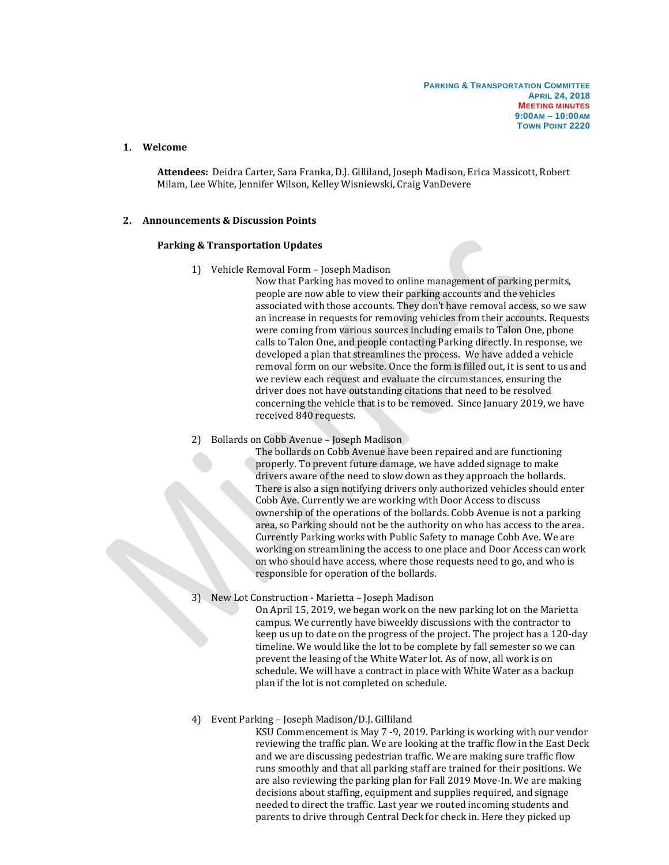## **1. Welcome**

**Attendees:** Deidra Carter, Sara Franka, D.J. Gilliland, Joseph Madison, Erica Massicott, Robert Milam, Lee White, Jennifer Wilson, Kelley Wisniewski, Craig VanDevere

## **2. Announcements & Discussion Points**

### **Parking & Transportation Updates**

1) Vehicle Removal Form – Joseph Madison

Now that Parking has moved to online management of parking permits, people are now able to view their parking accounts and the vehicles associated with those accounts. They don't have removal access, so we saw an increase in requests for removing vehicles from their accounts. Requests were coming from various sources including emails to Talon One, phone calls to Talon One, and people contacting Parking directly. In response, we developed a plan that streamlines the process. We have added a vehicle removal form on our website. Once the form is filled out, it is sent to us and we review each request and evaluate the circumstances, ensuring the driver does not have outstanding citations that need to be resolved concerning the vehicle that is to be removed. Since January 2019, we have received 840 requests.

2) Bollards on Cobb Avenue – Joseph Madison

The bollards on Cobb Avenue have been repaired and are functioning properly. To prevent future damage, we have added signage to make drivers aware of the need to slow down as they approach the bollards. There is also a sign notifying drivers only authorized vehicles should enter Cobb Ave. Currently we are working with Door Access to discuss ownership of the operations of the bollards. Cobb Avenue is not a parking area, so Parking should not be the authority on who has access to the area. Currently Parking works with Public Safety to manage Cobb Ave. We are working on streamlining the access to one place and Door Access can work on who should have access, where those requests need to go, and who is responsible for operation of the bollards.

3) New Lot Construction - Marietta – Joseph Madison

On April 15, 2019, we began work on the new parking lot on the Marietta campus. We currently have biweekly discussions with the contractor to keep us up to date on the progress of the project. The project has a 120-day timeline. We would like the lot to be complete by fall semester so we can prevent the leasing of the White Water lot. As of now, all work is on schedule. We will have a contract in place with White Water as a backup plan if the lot is not completed on schedule.

#### 4) Event Parking – Joseph Madison/D.J. Gilliland

KSU Commencement is May 7 -9, 2019. Parking is working with our vendor reviewing the traffic plan. We are looking at the traffic flow in the East Deck and we are discussing pedestrian traffic. We are making sure traffic flow runs smoothly and that all parking staff are trained for their positions. We are also reviewing the parking plan for Fall 2019 Move-In. We are making decisions about staffing, equipment and supplies required, and signage needed to direct the traffic. Last year we routed incoming students and parents to drive through Central Deck for check in. Here they picked up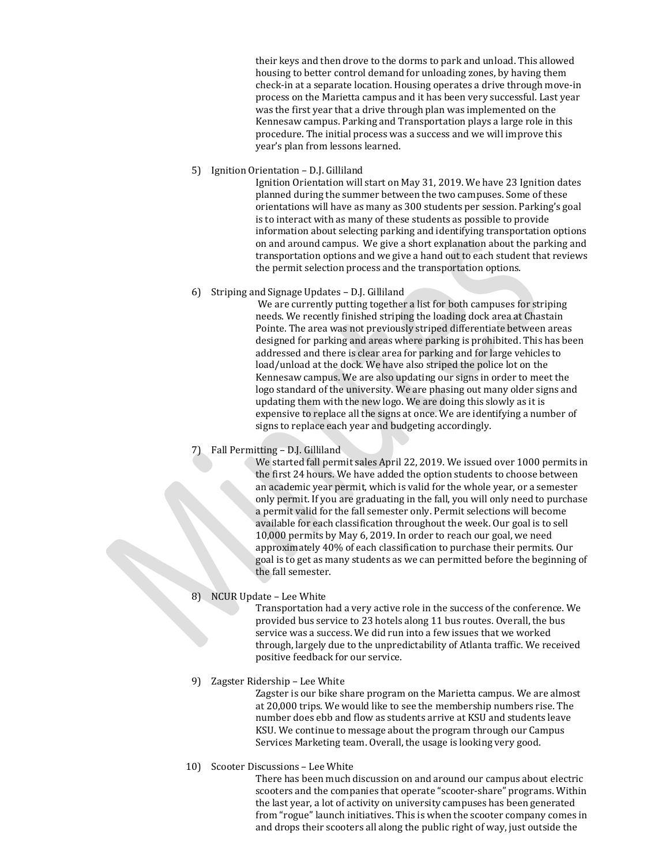their keys and then drove to the dorms to park and unload. This allowed housing to better control demand for unloading zones, by having them check-in at a separate location. Housing operates a drive through move-in process on the Marietta campus and it has been very successful. Last year was the first year that a drive through plan was implemented on the Kennesaw campus. Parking and Transportation plays a large role in this procedure. The initial process was a success and we will improve this year's plan from lessons learned.

5) Ignition Orientation – D.J. Gilliland

Ignition Orientation will start on May 31, 2019. We have 23 Ignition dates planned during the summer between the two campuses. Some of these orientations will have as many as 300 students per session. Parking's goal is to interact with as many of these students as possible to provide information about selecting parking and identifying transportation options on and around campus. We give a short explanation about the parking and transportation options and we give a hand out to each student that reviews the permit selection process and the transportation options.

6) Striping and Signage Updates – D.J. Gilliland

We are currently putting together a list for both campuses for striping needs. We recently finished striping the loading dock area at Chastain Pointe. The area was not previously striped differentiate between areas designed for parking and areas where parking is prohibited. This has been addressed and there is clear area for parking and for large vehicles to load/unload at the dock. We have also striped the police lot on the Kennesaw campus. We are also updating our signs in order to meet the logo standard of the university. We are phasing out many older signs and updating them with the new logo. We are doing this slowly as it is expensive to replace all the signs at once. We are identifying a number of signs to replace each year and budgeting accordingly.

7) Fall Permitting – D.J. Gilliland

We started fall permit sales April 22, 2019. We issued over 1000 permits in the first 24 hours. We have added the option students to choose between an academic year permit, which is valid for the whole year, or a semester only permit. If you are graduating in the fall, you will only need to purchase a permit valid for the fall semester only. Permit selections will become available for each classification throughout the week. Our goal is to sell 10,000 permits by May 6, 2019. In order to reach our goal, we need approximately 40% of each classification to purchase their permits. Our goal is to get as many students as we can permitted before the beginning of the fall semester.

8) NCUR Update – Lee White

Transportation had a very active role in the success of the conference. We provided bus service to 23 hotels along 11 bus routes. Overall, the bus service was a success. We did run into a few issues that we worked through, largely due to the unpredictability of Atlanta traffic. We received positive feedback for our service.

9) Zagster Ridership – Lee White

Zagster is our bike share program on the Marietta campus. We are almost at 20,000 trips. We would like to see the membership numbers rise. The number does ebb and flow as students arrive at KSU and students leave KSU. We continue to message about the program through our Campus Services Marketing team. Overall, the usage is looking very good.

10) Scooter Discussions – Lee White

There has been much discussion on and around our campus about electric scooters and the companies that operate "scooter-share" programs. Within the last year, a lot of activity on university campuses has been generated from "rogue" launch initiatives. This is when the scooter company comes in and drops their scooters all along the public right of way, just outside the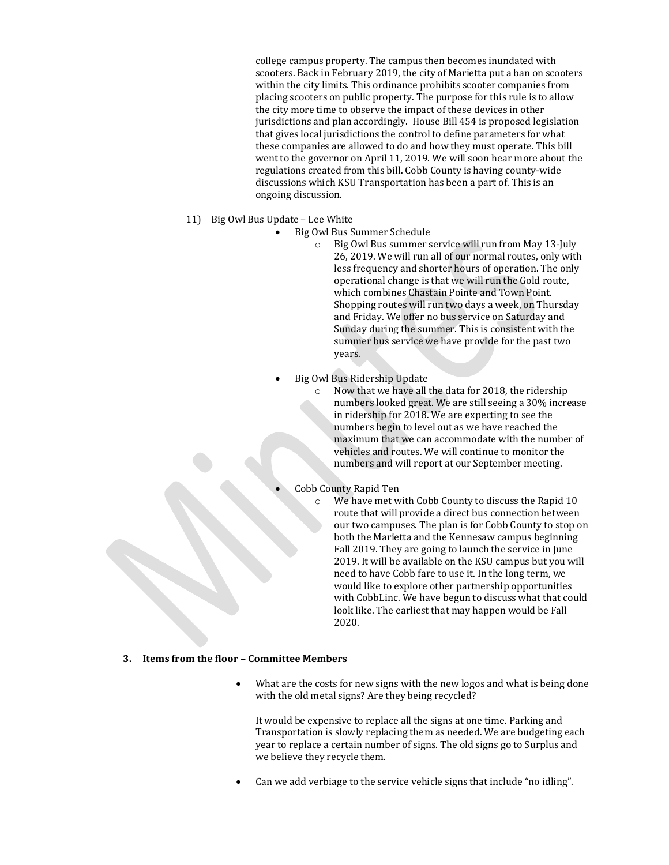college campus property. The campus then becomes inundated with scooters. Back in February 2019, the city of Marietta put a ban on scooters within the city limits. This ordinance prohibits scooter companies from placing scooters on public property. The purpose for this rule is to allow the city more time to observe the impact of these devices in other jurisdictions and plan accordingly. House Bill 454 is proposed legislation that gives local jurisdictions the control to define parameters for what these companies are allowed to do and how they must operate. This bill went to the governor on April 11, 2019. We will soon hear more about the regulations created from this bill. Cobb County is having county-wide discussions which KSU Transportation has been a part of. This is an ongoing discussion.

- 11) Big Owl Bus Update Lee White
	- Big Owl Bus Summer Schedule

o Big Owl Bus summer service will run from May 13-July 26, 2019. We will run all of our normal routes, only with less frequency and shorter hours of operation. The only operational change is that we will run the Gold route, which combines Chastain Pointe and Town Point. Shopping routes will run two days a week, on Thursday and Friday. We offer no bus service on Saturday and Sunday during the summer. This is consistent with the summer bus service we have provide for the past two years.

• Big Owl Bus Ridership Update

o Now that we have all the data for 2018, the ridership numbers looked great. We are still seeing a 30% increase in ridership for 2018. We are expecting to see the numbers begin to level out as we have reached the maximum that we can accommodate with the number of vehicles and routes. We will continue to monitor the numbers and will report at our September meeting.

• Cobb County Rapid Ten

o We have met with Cobb County to discuss the Rapid 10 route that will provide a direct bus connection between our two campuses. The plan is for Cobb County to stop on both the Marietta and the Kennesaw campus beginning Fall 2019. They are going to launch the service in June 2019. It will be available on the KSU campus but you will need to have Cobb fare to use it. In the long term, we would like to explore other partnership opportunities with CobbLinc. We have begun to discuss what that could look like. The earliest that may happen would be Fall 2020.

# **3. Items from the floor – Committee Members**

What are the costs for new signs with the new logos and what is being done with the old metal signs? Are they being recycled?

It would be expensive to replace all the signs at one time. Parking and Transportation is slowly replacing them as needed. We are budgeting each year to replace a certain number of signs. The old signs go to Surplus and we believe they recycle them.

• Can we add verbiage to the service vehicle signs that include "no idling".